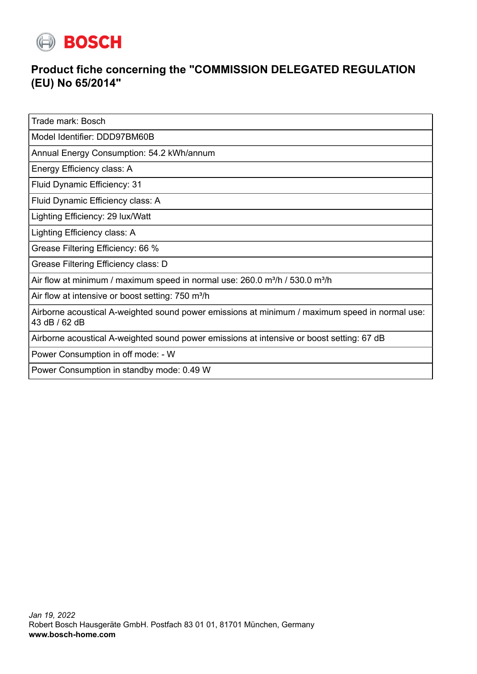

## **Product fiche concerning the "COMMISSION DELEGATED REGULATION (EU) No 65/2014"**

Trade mark: Bosch

Model Identifier: DDD97BM60B

Annual Energy Consumption: 54.2 kWh/annum

Energy Efficiency class: A

Fluid Dynamic Efficiency: 31

Fluid Dynamic Efficiency class: A

Lighting Efficiency: 29 lux/Watt

Lighting Efficiency class: A

Grease Filtering Efficiency: 66 %

Grease Filtering Efficiency class: D

Air flow at minimum / maximum speed in normal use:  $260.0$  m<sup>3</sup>/h / 530.0 m<sup>3</sup>/h

Air flow at intensive or boost setting: 750 m<sup>3</sup>/h

Airborne acoustical A-weighted sound power emissions at minimum / maximum speed in normal use: 43 dB / 62 dB

Airborne acoustical A-weighted sound power emissions at intensive or boost setting: 67 dB

Power Consumption in off mode: - W

Power Consumption in standby mode: 0.49 W